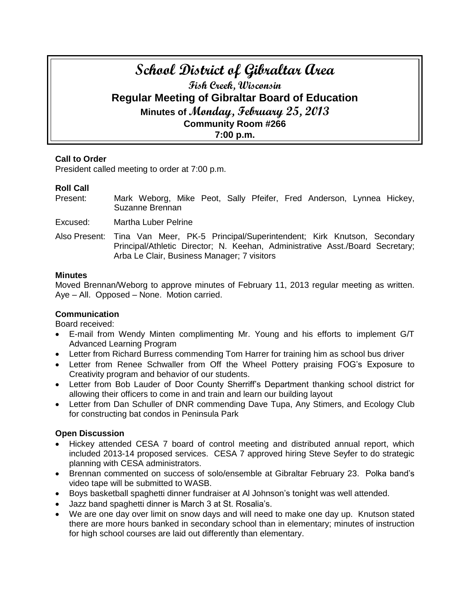# **School District of Gibraltar Area Fish Creek, Wisconsin Regular Meeting of Gibraltar Board of Education Minutes of Monday, February 25, 2013 Community Room #266 7:00 p.m.**

# **Call to Order**

President called meeting to order at 7:00 p.m.

# **Roll Call**

Present: Mark Weborg, Mike Peot, Sally Pfeifer, Fred Anderson, Lynnea Hickey, Suzanne Brennan

Excused: Martha Luber Pelrine

Also Present: Tina Van Meer, PK-5 Principal/Superintendent; Kirk Knutson, Secondary Principal/Athletic Director; N. Keehan, Administrative Asst./Board Secretary; Arba Le Clair, Business Manager; 7 visitors

### **Minutes**

Moved Brennan/Weborg to approve minutes of February 11, 2013 regular meeting as written. Aye – All. Opposed – None. Motion carried.

# **Communication**

Board received:

- E-mail from Wendy Minten complimenting Mr. Young and his efforts to implement G/T Advanced Learning Program
- Letter from Richard Burress commending Tom Harrer for training him as school bus driver
- Letter from Renee Schwaller from Off the Wheel Pottery praising FOG's Exposure to Creativity program and behavior of our students.
- Letter from Bob Lauder of Door County Sherriff's Department thanking school district for allowing their officers to come in and train and learn our building layout
- Letter from Dan Schuller of DNR commending Dave Tupa, Any Stimers, and Ecology Club for constructing bat condos in Peninsula Park

# **Open Discussion**

- Hickey attended CESA 7 board of control meeting and distributed annual report, which included 2013-14 proposed services. CESA 7 approved hiring Steve Seyfer to do strategic planning with CESA administrators.
- Brennan commented on success of solo/ensemble at Gibraltar February 23. Polka band's video tape will be submitted to WASB.
- Boys basketball spaghetti dinner fundraiser at Al Johnson's tonight was well attended.
- Jazz band spaghetti dinner is March 3 at St. Rosalia's.
- We are one day over limit on snow days and will need to make one day up. Knutson stated there are more hours banked in secondary school than in elementary; minutes of instruction for high school courses are laid out differently than elementary.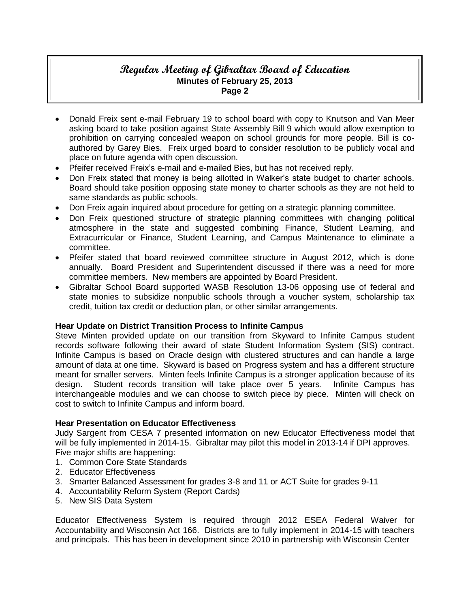- Donald Freix sent e-mail February 19 to school board with copy to Knutson and Van Meer asking board to take position against State Assembly Bill 9 which would allow exemption to prohibition on carrying concealed weapon on school grounds for more people. Bill is coauthored by Garey Bies. Freix urged board to consider resolution to be publicly vocal and place on future agenda with open discussion.
- Pfeifer received Freix's e-mail and e-mailed Bies, but has not received reply.
- Don Freix stated that money is being allotted in Walker's state budget to charter schools. Board should take position opposing state money to charter schools as they are not held to same standards as public schools.
- Don Freix again inquired about procedure for getting on a strategic planning committee.
- Don Freix questioned structure of strategic planning committees with changing political atmosphere in the state and suggested combining Finance, Student Learning, and Extracurricular or Finance, Student Learning, and Campus Maintenance to eliminate a committee.
- Pfeifer stated that board reviewed committee structure in August 2012, which is done annually. Board President and Superintendent discussed if there was a need for more committee members. New members are appointed by Board President.
- Gibraltar School Board supported WASB Resolution 13-06 opposing use of federal and state monies to subsidize nonpublic schools through a voucher system, scholarship tax credit, tuition tax credit or deduction plan, or other similar arrangements.

# **Hear Update on District Transition Process to Infinite Campus**

Steve Minten provided update on our transition from Skyward to Infinite Campus student records software following their award of state Student Information System (SIS) contract. Infinite Campus is based on Oracle design with clustered structures and can handle a large amount of data at one time. Skyward is based on Progress system and has a different structure meant for smaller servers. Minten feels Infinite Campus is a stronger application because of its design. Student records transition will take place over 5 years. Infinite Campus has interchangeable modules and we can choose to switch piece by piece. Minten will check on cost to switch to Infinite Campus and inform board.

# **Hear Presentation on Educator Effectiveness**

Judy Sargent from CESA 7 presented information on new Educator Effectiveness model that will be fully implemented in 2014-15. Gibraltar may pilot this model in 2013-14 if DPI approves. Five major shifts are happening:

- 1. Common Core State Standards
- 2. Educator Effectiveness
- 3. Smarter Balanced Assessment for grades 3-8 and 11 or ACT Suite for grades 9-11
- 4. Accountability Reform System (Report Cards)
- 5. New SIS Data System

Educator Effectiveness System is required through 2012 ESEA Federal Waiver for Accountability and Wisconsin Act 166. Districts are to fully implement in 2014-15 with teachers and principals. This has been in development since 2010 in partnership with Wisconsin Center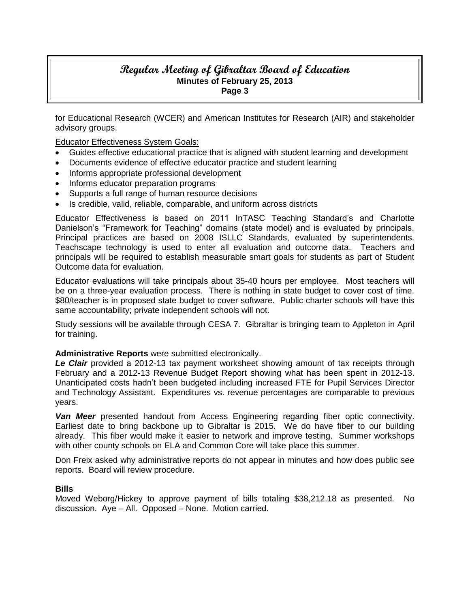for Educational Research (WCER) and American Institutes for Research (AIR) and stakeholder advisory groups.

Educator Effectiveness System Goals:

- Guides effective educational practice that is aligned with student learning and development
- Documents evidence of effective educator practice and student learning
- Informs appropriate professional development
- Informs educator preparation programs
- Supports a full range of human resource decisions
- Is credible, valid, reliable, comparable, and uniform across districts

Educator Effectiveness is based on 2011 InTASC Teaching Standard's and Charlotte Danielson's "Framework for Teaching" domains (state model) and is evaluated by principals. Principal practices are based on 2008 ISLLC Standards, evaluated by superintendents. Teachscape technology is used to enter all evaluation and outcome data. Teachers and principals will be required to establish measurable smart goals for students as part of Student Outcome data for evaluation.

Educator evaluations will take principals about 35-40 hours per employee. Most teachers will be on a three-year evaluation process. There is nothing in state budget to cover cost of time. \$80/teacher is in proposed state budget to cover software. Public charter schools will have this same accountability; private independent schools will not.

Study sessions will be available through CESA 7. Gibraltar is bringing team to Appleton in April for training.

#### **Administrative Reports** were submitted electronically.

*Le Clair* provided a 2012-13 tax payment worksheet showing amount of tax receipts through February and a 2012-13 Revenue Budget Report showing what has been spent in 2012-13. Unanticipated costs hadn't been budgeted including increased FTE for Pupil Services Director and Technology Assistant. Expenditures vs. revenue percentages are comparable to previous years.

*Van Meer* presented handout from Access Engineering regarding fiber optic connectivity. Earliest date to bring backbone up to Gibraltar is 2015. We do have fiber to our building already. This fiber would make it easier to network and improve testing. Summer workshops with other county schools on ELA and Common Core will take place this summer.

Don Freix asked why administrative reports do not appear in minutes and how does public see reports. Board will review procedure.

#### **Bills**

Moved Weborg/Hickey to approve payment of bills totaling \$38,212.18 as presented. No discussion. Aye – All. Opposed – None. Motion carried.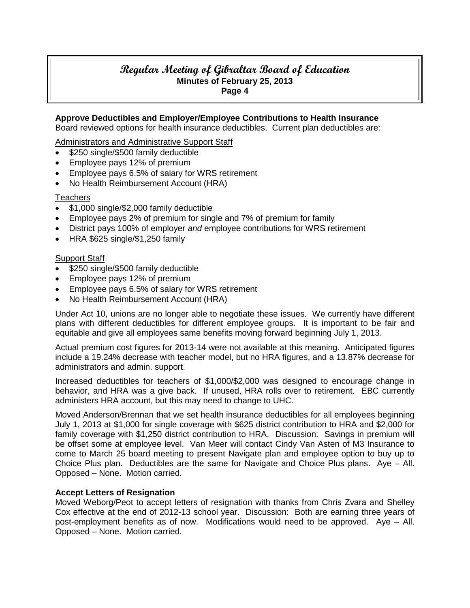**Approve Deductibles and Employer/Employee Contributions to Health Insurance**

Board reviewed options for health insurance deductibles. Current plan deductibles are:

Administrators and Administrative Support Staff

- \$250 single/\$500 family deductible
- Employee pays 12% of premium
- Employee pays 6.5% of salary for WRS retirement
- No Health Reimbursement Account (HRA)

# **Teachers**

- \$1,000 single/\$2,000 family deductible
- Employee pays 2% of premium for single and 7% of premium for family
- District pays 100% of employer *and* employee contributions for WRS retirement
- $\bullet$  HRA \$625 single/\$1,250 family

# **Support Staff**

- \$250 single/\$500 family deductible
- Employee pays 12% of premium
- Employee pays 6.5% of salary for WRS retirement
- No Health Reimbursement Account (HRA)

Under Act 10, unions are no longer able to negotiate these issues. We currently have different plans with different deductibles for different employee groups. It is important to be fair and equitable and give all employees same benefits moving forward beginning July 1, 2013.

Actual premium cost figures for 2013-14 were not available at this meaning. Anticipated figures include a 19.24% decrease with teacher model, but no HRA figures, and a 13.87% decrease for administrators and admin. support.

Increased deductibles for teachers of \$1,000/\$2,000 was designed to encourage change in behavior, and HRA was a give back. If unused, HRA rolls over to retirement. EBC currently administers HRA account, but this may need to change to UHC.

Moved Anderson/Brennan that we set health insurance deductibles for all employees beginning July 1, 2013 at \$1,000 for single coverage with \$625 district contribution to HRA and \$2,000 for family coverage with \$1,250 district contribution to HRA. Discussion: Savings in premium will be offset some at employee level. Van Meer will contact Cindy Van Asten of M3 Insurance to come to March 25 board meeting to present Navigate plan and employee option to buy up to Choice Plus plan. Deductibles are the same for Navigate and Choice Plus plans. Aye – All. Opposed – None. Motion carried.

# **Accept Letters of Resignation**

Moved Weborg/Peot to accept letters of resignation with thanks from Chris Zvara and Shelley Cox effective at the end of 2012-13 school year. Discussion: Both are earning three years of post-employment benefits as of now. Modifications would need to be approved. Aye – All. Opposed – None. Motion carried.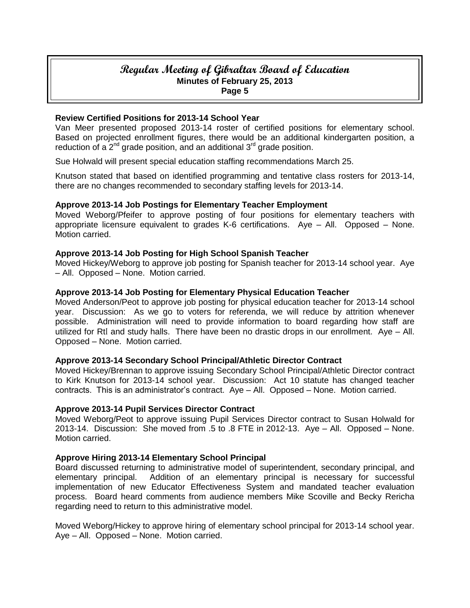### **Review Certified Positions for 2013-14 School Year**

Van Meer presented proposed 2013-14 roster of certified positions for elementary school. Based on projected enrollment figures, there would be an additional kindergarten position, a reduction of a  $2^{nd}$  grade position, and an additional  $3^{rd}$  grade position.

Sue Holwald will present special education staffing recommendations March 25.

Knutson stated that based on identified programming and tentative class rosters for 2013-14, there are no changes recommended to secondary staffing levels for 2013-14.

### **Approve 2013-14 Job Postings for Elementary Teacher Employment**

Moved Weborg/Pfeifer to approve posting of four positions for elementary teachers with appropriate licensure equivalent to grades K-6 certifications. Aye – All. Opposed – None. Motion carried.

### **Approve 2013-14 Job Posting for High School Spanish Teacher**

Moved Hickey/Weborg to approve job posting for Spanish teacher for 2013-14 school year. Aye – All. Opposed – None. Motion carried.

### **Approve 2013-14 Job Posting for Elementary Physical Education Teacher**

Moved Anderson/Peot to approve job posting for physical education teacher for 2013-14 school year. Discussion: As we go to voters for referenda, we will reduce by attrition whenever possible. Administration will need to provide information to board regarding how staff are utilized for RtI and study halls. There have been no drastic drops in our enrollment. Aye – All. Opposed – None. Motion carried.

#### **Approve 2013-14 Secondary School Principal/Athletic Director Contract**

Moved Hickey/Brennan to approve issuing Secondary School Principal/Athletic Director contract to Kirk Knutson for 2013-14 school year. Discussion: Act 10 statute has changed teacher contracts. This is an administrator's contract. Aye – All. Opposed – None. Motion carried.

#### **Approve 2013-14 Pupil Services Director Contract**

Moved Weborg/Peot to approve issuing Pupil Services Director contract to Susan Holwald for 2013-14. Discussion: She moved from .5 to .8 FTE in 2012-13. Aye – All. Opposed – None. Motion carried.

#### **Approve Hiring 2013-14 Elementary School Principal**

Board discussed returning to administrative model of superintendent, secondary principal, and elementary principal. Addition of an elementary principal is necessary for successful implementation of new Educator Effectiveness System and mandated teacher evaluation process. Board heard comments from audience members Mike Scoville and Becky Rericha regarding need to return to this administrative model.

Moved Weborg/Hickey to approve hiring of elementary school principal for 2013-14 school year. Aye – All. Opposed – None. Motion carried.